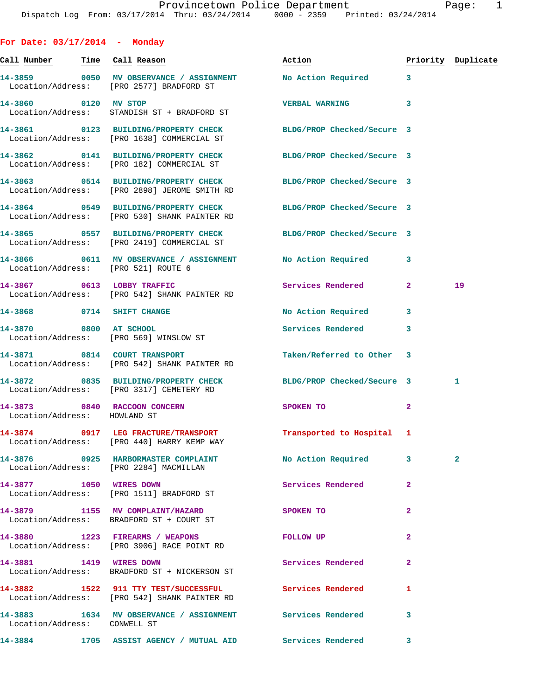**For Date: 03/17/2014 - Monday Call Number Time Call Reason Action Priority Duplicate 14-3859 0050 MV OBSERVANCE / ASSIGNMENT No Action Required 3**  Location/Address: [PRO 2577] BRADFORD ST **14-3860 0120 MV STOP VERBAL WARNING 3**  Location/Address: STANDISH ST + BRADFORD ST **14-3861 0123 BUILDING/PROPERTY CHECK BLDG/PROP Checked/Secure 3**  Location/Address: [PRO 1638] COMMERCIAL ST **14-3862 0141 BUILDING/PROPERTY CHECK BLDG/PROP Checked/Secure 3**  Location/Address: [PRO 182] COMMERCIAL ST **14-3863 0514 BUILDING/PROPERTY CHECK BLDG/PROP Checked/Secure 3**  Location/Address: [PRO 2898] JEROME SMITH RD **14-3864 0549 BUILDING/PROPERTY CHECK BLDG/PROP Checked/Secure 3**  Location/Address: [PRO 530] SHANK PAINTER RD **14-3865 0557 BUILDING/PROPERTY CHECK BLDG/PROP Checked/Secure 3**  Location/Address: [PRO 2419] COMMERCIAL ST **14-3866 0611 MV OBSERVANCE / ASSIGNMENT No Action Required 3**  Location/Address: [PRO 521] ROUTE 6 **14-3867 0613 LOBBY TRAFFIC Services Rendered 2 19**  Location/Address: [PRO 542] SHANK PAINTER RD **14-3868 0714 SHIFT CHANGE No Action Required 3 14-3870 0800 AT SCHOOL Services Rendered 3**  Location/Address: [PRO 569] WINSLOW ST **14-3871 0814 COURT TRANSPORT Taken/Referred to Other 3**  Location/Address: [PRO 542] SHANK PAINTER RD **14-3872 0835 BUILDING/PROPERTY CHECK BLDG/PROP Checked/Secure 3 1**  Location/Address: [PRO 3317] CEMETERY RD **14-3873 0840 RACCOON CONCERN SPOKEN TO 2**  Location/Address: HOWLAND ST **14-3874 0917 LEG FRACTURE/TRANSPORT Transported to Hospital 1**  Location/Address: [PRO 440] HARRY KEMP WAY **14-3876 0925 HARBORMASTER COMPLAINT No Action Required 3 2**  Location/Address: [PRO 2284] MACMILLAN **14-3877 1050 WIRES DOWN Services Rendered 2**  Location/Address: [PRO 1511] BRADFORD ST **14-3879 1155 MV COMPLAINT/HAZARD SPOKEN TO 2**  Location/Address: BRADFORD ST + COURT ST **14-3880 1223 FIREARMS / WEAPONS FOLLOW UP 2**  Location/Address: [PRO 3906] RACE POINT RD **14-3881 1419 WIRES DOWN Services Rendered 2**  Location/Address: BRADFORD ST + NICKERSON ST **14-3882 1522 911 TTY TEST/SUCCESSFUL Services Rendered 1**  Location/Address: [PRO 542] SHANK PAINTER RD

**14-3883 1634 MV OBSERVANCE / ASSIGNMENT Services Rendered 3**  Location/Address: CONWELL ST

**14-3884 1705 ASSIST AGENCY / MUTUAL AID Services Rendered 3**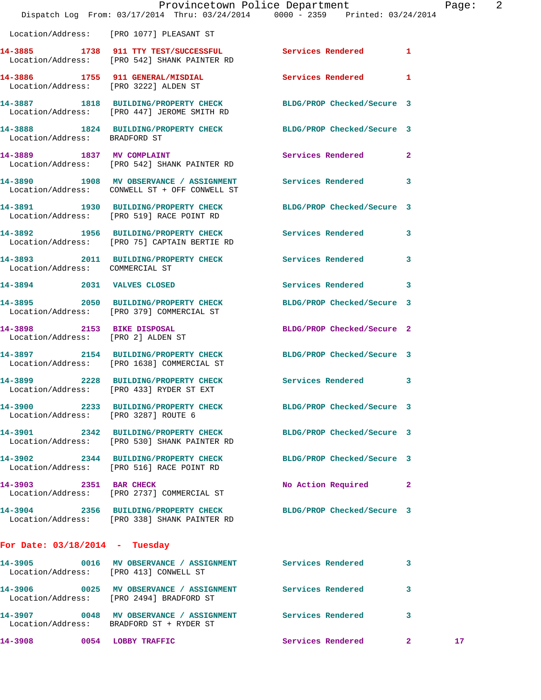|                                  |                                                                                          | Provincetown Police Department<br>Dispatch Log From: 03/17/2014 Thru: 03/24/2014 0000 - 2359 Printed: 03/24/2014 |                | Pa |
|----------------------------------|------------------------------------------------------------------------------------------|------------------------------------------------------------------------------------------------------------------|----------------|----|
|                                  | Location/Address: [PRO 1077] PLEASANT ST                                                 |                                                                                                                  |                |    |
|                                  | Location/Address: [PRO 542] SHANK PAINTER RD                                             | 14-3885 1738 911 TTY TEST/SUCCESSFUL Services Rendered 1                                                         |                |    |
|                                  | 14-3886 1755 911 GENERAL/MISDIAL<br>Location/Address: [PRO 3222] ALDEN ST                | <b>Services Rendered</b>                                                                                         | 1              |    |
|                                  | Location/Address: [PRO 447] JEROME SMITH RD                                              | 14-3887 1818 BUILDING/PROPERTY CHECK BLDG/PROP Checked/Secure 3                                                  |                |    |
| Location/Address: BRADFORD ST    |                                                                                          | 14-3888 1824 BUILDING/PROPERTY CHECK BLDG/PROP Checked/Secure 3                                                  |                |    |
|                                  | 14-3889 1837 MV COMPLAINT<br>Location/Address: [PRO 542] SHANK PAINTER RD                | Services Rendered                                                                                                | $\overline{2}$ |    |
|                                  | 14-3890 1908 MV OBSERVANCE / ASSIGNMENT<br>Location/Address: CONWELL ST + OFF CONWELL ST | Services Rendered                                                                                                | 3              |    |
|                                  | 14-3891 1930 BUILDING/PROPERTY CHECK<br>Location/Address: [PRO 519] RACE POINT RD        | BLDG/PROP Checked/Secure 3                                                                                       |                |    |
|                                  | 14-3892 1956 BUILDING/PROPERTY CHECK<br>Location/Address: [PRO 75] CAPTAIN BERTIE RD     | <b>Services Rendered</b>                                                                                         | 3              |    |
| Location/Address: COMMERCIAL ST  |                                                                                          | 14-3893 2011 BUILDING/PROPERTY CHECK Services Rendered                                                           | 3              |    |
| 14-3894 2031 VALVES CLOSED       |                                                                                          | Services Rendered 3                                                                                              |                |    |
|                                  | 14-3895 2050 BUILDING/PROPERTY CHECK<br>Location/Address: [PRO 379] COMMERCIAL ST        | BLDG/PROP Checked/Secure 3                                                                                       |                |    |
|                                  | 14-3898 2153 BIKE DISPOSAL<br>Location/Address: [PRO 2] ALDEN ST                         | BLDG/PROP Checked/Secure 2                                                                                       |                |    |
|                                  | Location/Address: [PRO 1638] COMMERCIAL ST                                               | 14-3897 2154 BUILDING/PROPERTY CHECK BLDG/PROP Checked/Secure 3                                                  |                |    |
|                                  | 14-3899 2228 BUILDING/PROPERTY CHECK<br>Location/Address: [PRO 433] RYDER ST EXT         | Services Rendered                                                                                                | 3              |    |
|                                  | Location/Address: [PRO 3287] ROUTE 6                                                     | 14-3900 2233 BUILDING/PROPERTY CHECK BLDG/PROP Checked/Secure 3                                                  |                |    |
|                                  | 14-3901 2342 BUILDING/PROPERTY CHECK<br>Location/Address: [PRO 530] SHANK PAINTER RD     | BLDG/PROP Checked/Secure 3                                                                                       |                |    |
|                                  | 14-3902 2344 BUILDING/PROPERTY CHECK<br>Location/Address: [PRO 516] RACE POINT RD        | BLDG/PROP Checked/Secure 3                                                                                       |                |    |
|                                  | 14-3903 2351 BAR CHECK<br>Location/Address: [PRO 2737] COMMERCIAL ST                     | No Action Required                                                                                               | $\mathbf{2}$   |    |
|                                  | Location/Address: [PRO 338] SHANK PAINTER RD                                             | 14-3904 2356 BUILDING/PROPERTY CHECK BLDG/PROP Checked/Secure 3                                                  |                |    |
| For Date: $03/18/2014$ - Tuesday |                                                                                          |                                                                                                                  |                |    |
|                                  | Location/Address: [PRO 413] CONWELL ST                                                   | 14-3905 0016 MV OBSERVANCE / ASSIGNMENT Services Rendered                                                        | 3              |    |
|                                  |                                                                                          | 14-3906 0025 MV OBSERVANCE / ASSIGNMENT Services Rendered<br>Location/Address: [PRO 2494] BRADFORD ST            | 3              |    |
|                                  | Location/Address: BRADFORD ST + RYDER ST                                                 | 14-3907 0048 MV OBSERVANCE / ASSIGNMENT Services Rendered                                                        | 3              |    |
| 14-3908 0054 LOBBY TRAFFIC       |                                                                                          | Services Rendered                                                                                                | $\mathbf{2}^-$ | 1  |

Page: 2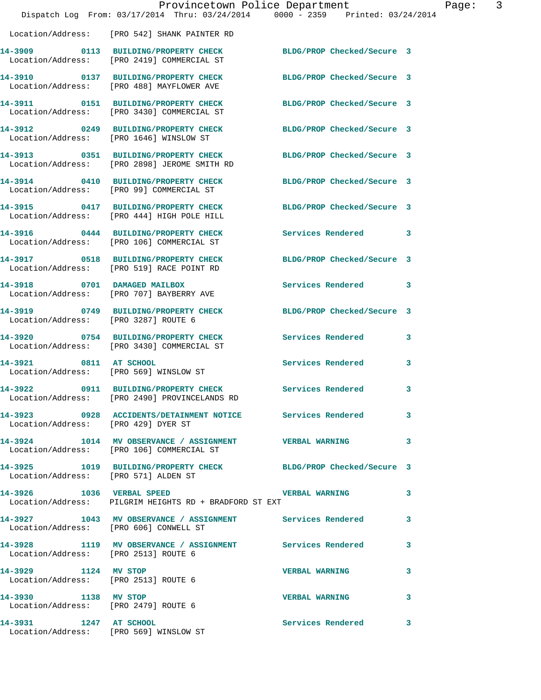|                                                                  | Provincetown Police Department<br>Dispatch Log From: 03/17/2014 Thru: 03/24/2014 0000 - 2359 Printed: 03/24/2014 |                            | $\overline{3}$<br>Page: |
|------------------------------------------------------------------|------------------------------------------------------------------------------------------------------------------|----------------------------|-------------------------|
|                                                                  | Location/Address: [PRO 542] SHANK PAINTER RD                                                                     |                            |                         |
|                                                                  | 14-3909 0113 BUILDING/PROPERTY CHECK BLDG/PROP Checked/Secure 3<br>Location/Address: [PRO 2419] COMMERCIAL ST    |                            |                         |
|                                                                  | 14-3910 0137 BUILDING/PROPERTY CHECK<br>Location/Address: [PRO 488] MAYFLOWER AVE                                | BLDG/PROP Checked/Secure 3 |                         |
|                                                                  | 14-3911 0151 BUILDING/PROPERTY CHECK<br>Location/Address: [PRO 3430] COMMERCIAL ST                               | BLDG/PROP Checked/Secure 3 |                         |
| Location/Address: [PRO 1646] WINSLOW ST                          | 14-3912 0249 BUILDING/PROPERTY CHECK BLDG/PROP Checked/Secure 3                                                  |                            |                         |
|                                                                  | 14-3913 0351 BUILDING/PROPERTY CHECK<br>Location/Address: [PRO 2898] JEROME SMITH RD                             | BLDG/PROP Checked/Secure 3 |                         |
|                                                                  | 14-3914 0410 BUILDING/PROPERTY CHECK<br>Location/Address: [PRO 99] COMMERCIAL ST                                 | BLDG/PROP Checked/Secure 3 |                         |
|                                                                  | 14-3915 0417 BUILDING/PROPERTY CHECK<br>Location/Address: [PRO 444] HIGH POLE HILL                               | BLDG/PROP Checked/Secure 3 |                         |
|                                                                  | 14-3916 0444 BUILDING/PROPERTY CHECK<br>Location/Address: [PRO 106] COMMERCIAL ST                                | <b>Services Rendered</b> 3 |                         |
|                                                                  | 14-3917 0518 BUILDING/PROPERTY CHECK<br>Location/Address: [PRO 519] RACE POINT RD                                | BLDG/PROP Checked/Secure 3 |                         |
|                                                                  | 14-3918 0701 DAMAGED MAILBOX<br>Location/Address: [PRO 707] BAYBERRY AVE                                         | Services Rendered 3        |                         |
| Location/Address: [PRO 3287] ROUTE 6                             | 14-3919 0749 BUILDING/PROPERTY CHECK                                                                             | BLDG/PROP Checked/Secure 3 |                         |
|                                                                  | 14-3920 0754 BUILDING/PROPERTY CHECK Services Rendered 3<br>Location/Address: [PRO 3430] COMMERCIAL ST           |                            |                         |
| 14-3921 0811 AT SCHOOL<br>Location/Address: [PRO 569] WINSLOW ST |                                                                                                                  | <b>Services Rendered</b>   | 3                       |
| 14-3922                                                          | 0911 BUILDING/PROPERTY CHECK Services Rendered 3<br>Location/Address: [PRO 2490] PROVINCELANDS RD                |                            |                         |
| Location/Address: [PRO 429] DYER ST                              | 14-3923 0928 ACCIDENTS/DETAINMENT NOTICE Services Rendered 3                                                     |                            |                         |
|                                                                  | 14-3924 1014 MV OBSERVANCE / ASSIGNMENT VERBAL WARNING 3<br>Location/Address: [PRO 106] COMMERCIAL ST            |                            |                         |
| Location/Address: [PRO 571] ALDEN ST                             | 14-3925 1019 BUILDING/PROPERTY CHECK BLDG/PROP Checked/Secure 3                                                  |                            |                         |
|                                                                  | 14-3926 1036 VERBAL SPEED VERBAL WARNING 3<br>Location/Address: PILGRIM HEIGHTS RD + BRADFORD ST EXT             |                            |                         |
|                                                                  | 14-3927 1043 MV OBSERVANCE / ASSIGNMENT Services Rendered<br>Location/Address: [PRO 606] CONWELL ST              |                            | 3                       |
| Location/Address: [PRO 2513] ROUTE 6                             | 14-3928 1119 MV OBSERVANCE / ASSIGNMENT Services Rendered 3                                                      |                            |                         |
| 14-3929 1124 MV STOP<br>Location/Address: [PRO 2513] ROUTE 6     |                                                                                                                  | <b>VERBAL WARNING</b>      | 3                       |
| 14-3930 1138 MV STOP<br>Location/Address: [PRO 2479] ROUTE 6     |                                                                                                                  | VERBAL WARNING 3           |                         |
| 14-3931 1247 AT SCHOOL                                           | Location/Address: [PRO 569] WINSLOW ST                                                                           | Services Rendered          | 3                       |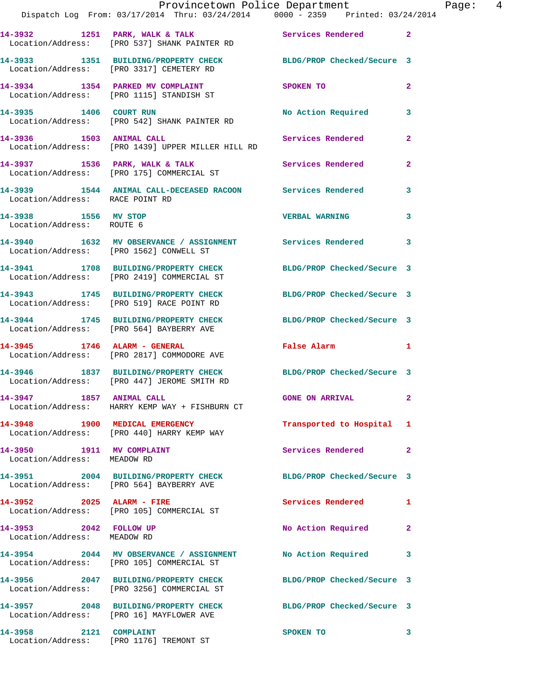|                                                          | Provincetown Police Department<br>Dispatch Log From: 03/17/2014 Thru: 03/24/2014 0000 - 2359 Printed: 03/24/2014 |                                           |                |
|----------------------------------------------------------|------------------------------------------------------------------------------------------------------------------|-------------------------------------------|----------------|
|                                                          | 14-3932 1251 PARK, WALK & TALK 1988 Services Rendered<br>Location/Address: [PRO 537] SHANK PAINTER RD            |                                           | $\overline{2}$ |
|                                                          | 14-3933 1351 BUILDING/PROPERTY CHECK BLDG/PROP Checked/Secure 3<br>Location/Address: [PRO 3317] CEMETERY RD      |                                           |                |
|                                                          | 14-3934 1354 PARKED MV COMPLAINT<br>Location/Address: [PRO 1115] STANDISH ST                                     | SPOKEN TO                                 | $\mathbf{2}$   |
| 14-3935 1406 COURT RUN                                   | Location/Address: [PRO 542] SHANK PAINTER RD                                                                     | No Action Required                        | 3              |
|                                                          | 14-3936 1503 ANIMAL CALL<br>Location/Address: [PRO 1439] UPPER MILLER HILL RD                                    | Services Rendered                         | $\mathbf{2}$   |
|                                                          | 14-3937 1536 PARK, WALK & TALK 1999 Services Rendered<br>Location/Address: [PRO 175] COMMERCIAL ST               |                                           | $\mathbf{2}$   |
| Location/Address: RACE POINT RD                          | 14-3939 1544 ANIMAL CALL-DECEASED RACOON Services Rendered                                                       |                                           | 3              |
| 14-3938 1556 MV STOP<br>Location/Address: ROUTE 6        |                                                                                                                  | <b>VERBAL WARNING</b>                     | 3              |
| Location/Address: [PRO 1562] CONWELL ST                  | 14-3940 1632 MV OBSERVANCE / ASSIGNMENT Services Rendered                                                        |                                           | 3              |
|                                                          | 14-3941 1708 BUILDING/PROPERTY CHECK<br>Location/Address: [PRO 2419] COMMERCIAL ST                               | BLDG/PROP Checked/Secure 3                |                |
|                                                          | 14-3943 1745 BUILDING/PROPERTY CHECK BLDG/PROP Checked/Secure 3<br>Location/Address: [PRO 519] RACE POINT RD     |                                           |                |
|                                                          | 14-3944 1745 BUILDING/PROPERTY CHECK BLDG/PROP Checked/Secure 3<br>Location/Address: [PRO 564] BAYBERRY AVE      |                                           |                |
| 14-3945 1746 ALARM - GENERAL                             | Location/Address: [PRO 2817] COMMODORE AVE                                                                       | False Alarm <b>Francisco Execute 1986</b> | 1              |
|                                                          | 14-3946 1837 BUILDING/PROPERTY CHECK<br>Location/Address: [PRO 447] JEROME SMITH RD                              | BLDG/PROP Checked/Secure 3                |                |
| 14-3947 1857 ANIMAL CALL                                 | Location/Address: HARRY KEMP WAY + FISHBURN CT                                                                   | <b>GONE ON ARRIVAL</b>                    |                |
|                                                          | 14-3948 1900 MEDICAL EMERGENCY<br>Location/Address: [PRO 440] HARRY KEMP WAY                                     | Transported to Hospital                   | 1              |
| 14-3950 1911 MV COMPLAINT<br>Location/Address: MEADOW RD |                                                                                                                  | Services Rendered                         | $\overline{2}$ |
|                                                          | 14-3951 2004 BUILDING/PROPERTY CHECK BLDG/PROP Checked/Secure 3<br>Location/Address: [PRO 564] BAYBERRY AVE      |                                           |                |
| 14-3952 2025 ALARM - FIRE                                | Location/Address: [PRO 105] COMMERCIAL ST                                                                        | <b>Services Rendered</b>                  | 1              |
| 14-3953 2042 FOLLOW UP<br>Location/Address: MEADOW RD    |                                                                                                                  | No Action Required                        | $\mathbf{2}$   |
|                                                          | 14-3954 2044 MV OBSERVANCE / ASSIGNMENT No Action Required<br>Location/Address: [PRO 105] COMMERCIAL ST          |                                           | 3              |
|                                                          | 14-3956 2047 BUILDING/PROPERTY CHECK BLDG/PROP Checked/Secure 3<br>Location/Address: [PRO 3256] COMMERCIAL ST    |                                           |                |
|                                                          | 14-3957 2048 BUILDING/PROPERTY CHECK BLDG/PROP Checked/Secure 3<br>Location/Address: [PRO 16] MAYFLOWER AVE      |                                           |                |
| 14-3958 2121 COMPLAINT                                   | Location/Address: [PRO 1176] TREMONT ST                                                                          | SPOKEN TO                                 | 3              |

Page:  $4$ <br>14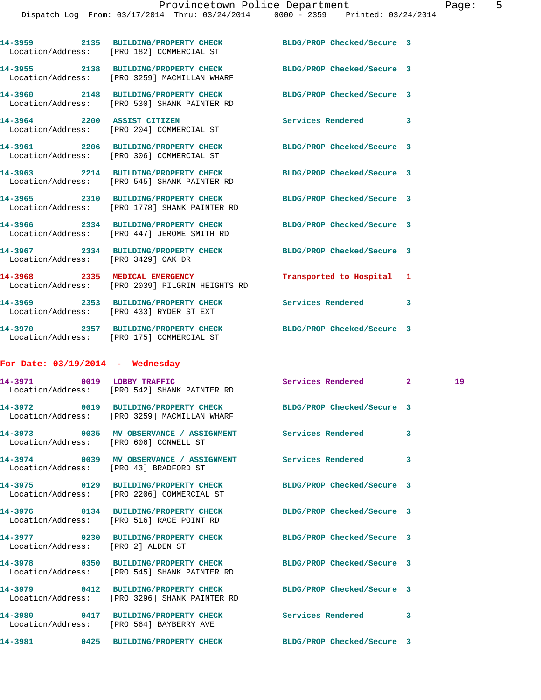|                                        | 14-3959 2135 BUILDING/PROPERTY CHECK BLDG/PROP Checked/Secure 3<br>Location/Address: [PRO 182] COMMERCIAL ST    |                            |   |    |
|----------------------------------------|-----------------------------------------------------------------------------------------------------------------|----------------------------|---|----|
|                                        | 14-3955 2138 BUILDING/PROPERTY CHECK BLDG/PROP Checked/Secure 3<br>Location/Address: [PRO 3259] MACMILLAN WHARF |                            |   |    |
|                                        | 14-3960 2148 BUILDING/PROPERTY CHECK<br>Location/Address: [PRO 530] SHANK PAINTER RD                            | BLDG/PROP Checked/Secure 3 |   |    |
|                                        | 14-3964 2200 ASSIST CITIZEN<br>Location/Address: [PRO 204] COMMERCIAL ST                                        | Services Rendered 3        |   |    |
|                                        | 14-3961 2206 BUILDING/PROPERTY CHECK<br>Location/Address: [PRO 306] COMMERCIAL ST                               | BLDG/PROP Checked/Secure 3 |   |    |
|                                        | 14-3963 2214 BUILDING/PROPERTY CHECK<br>Location/Address: [PRO 545] SHANK PAINTER RD                            | BLDG/PROP Checked/Secure 3 |   |    |
|                                        | 14-3965 2310 BUILDING/PROPERTY CHECK<br>Location/Address: [PRO 1778] SHANK PAINTER RD                           | BLDG/PROP Checked/Secure 3 |   |    |
|                                        | 14-3966 2334 BUILDING/PROPERTY CHECK BLDG/PROP Checked/Secure 3<br>Location/Address: [PRO 447] JEROME SMITH RD  |                            |   |    |
| Location/Address: [PRO 3429] OAK DR    | 14-3967 2334 BUILDING/PROPERTY CHECK BLDG/PROP Checked/Secure 3                                                 |                            |   |    |
|                                        | 14-3968 2335 MEDICAL EMERGENCY<br>Location/Address: [PRO 2039] PILGRIM HEIGHTS RD                               | Transported to Hospital 1  |   |    |
|                                        | 14-3969 2353 BUILDING/PROPERTY CHECK Services Rendered 3<br>Location/Address: [PRO 433] RYDER ST EXT            |                            |   |    |
|                                        | 14-3970 2357 BUILDING/PROPERTY CHECK BLDG/PROP Checked/Secure 3<br>Location/Address: [PRO 175] COMMERCIAL ST    |                            |   |    |
| For Date: $03/19/2014$ - Wednesday     |                                                                                                                 |                            |   |    |
|                                        | 14-3971 0019 LOBBY TRAFFIC<br>Location/Address: [PRO 542] SHANK PAINTER RD                                      | Services Rendered 2        |   | 19 |
|                                        | 14-3972 0019 BUILDING/PROPERTY CHECK BLDG/PROP Checked/Secure 3<br>Location/Address: [PRO 3259] MACMILLAN WHARF |                            |   |    |
| Location/Address: [PRO 606] CONWELL ST | 14-3973 0035 MV OBSERVANCE / ASSIGNMENT                                                                         | <b>Services Rendered</b>   |   |    |
| Location/Address: [PRO 43] BRADFORD ST |                                                                                                                 |                            | 3 |    |
|                                        | 14-3975 0129 BUILDING/PROPERTY CHECK<br>Location/Address: [PRO 2206] COMMERCIAL ST                              | BLDG/PROP Checked/Secure 3 |   |    |
|                                        | 14-3976 0134 BUILDING/PROPERTY CHECK<br>Location/Address: [PRO 516] RACE POINT RD                               | BLDG/PROP Checked/Secure 3 |   |    |
| 14-3977                                | 0230 BUILDING/PROPERTY CHECK                                                                                    | BLDG/PROP Checked/Secure 3 |   |    |

**14-3978 0350 BUILDING/PROPERTY CHECK BLDG/PROP Checked/Secure 3** 

**14-3979 0412 BUILDING/PROPERTY CHECK BLDG/PROP Checked/Secure 3** 

**14-3980 0417 BUILDING/PROPERTY CHECK Services Rendered 3** 

**14-3981 0425 BUILDING/PROPERTY CHECK BLDG/PROP Checked/Secure 3** 

Location/Address: [PRO 2] ALDEN ST

Location/Address: [PRO 545] SHANK PAINTER RD

Location/Address: [PRO 3296] SHANK PAINTER RD

Location/Address: [PRO 564] BAYBERRY AVE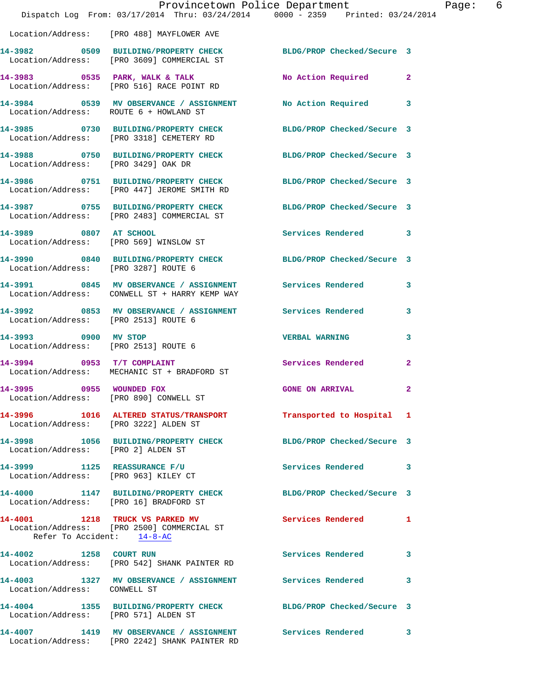|                                                                      | Provincetown Police Department<br>Dispatch Log From: 03/17/2014 Thru: 03/24/2014 0000 - 2359 Printed: 03/24/2014 |                            |                |
|----------------------------------------------------------------------|------------------------------------------------------------------------------------------------------------------|----------------------------|----------------|
|                                                                      | Location/Address: [PRO 488] MAYFLOWER AVE                                                                        |                            |                |
|                                                                      | 14-3982 0509 BUILDING/PROPERTY CHECK<br>Location/Address: [PRO 3609] COMMERCIAL ST                               | BLDG/PROP Checked/Secure 3 |                |
|                                                                      | 14-3983 0535 PARK, WALK & TALK<br>Location/Address: [PRO 516] RACE POINT RD                                      | No Action Required         | $\overline{2}$ |
| Location/Address: ROUTE 6 + HOWLAND ST                               | 14-3984 0539 MV OBSERVANCE / ASSIGNMENT                                                                          | <b>No Action Required</b>  | 3              |
|                                                                      | 14-3985 0730 BUILDING/PROPERTY CHECK<br>Location/Address: [PRO 3318] CEMETERY RD                                 | BLDG/PROP Checked/Secure 3 |                |
| Location/Address: [PRO 3429] OAK DR                                  | 14-3988 0750 BUILDING/PROPERTY CHECK                                                                             | BLDG/PROP Checked/Secure 3 |                |
|                                                                      | 14-3986 0751 BUILDING/PROPERTY CHECK<br>Location/Address: [PRO 447] JEROME SMITH RD                              | BLDG/PROP Checked/Secure 3 |                |
|                                                                      | 14-3987 0755 BUILDING/PROPERTY CHECK<br>Location/Address: [PRO 2483] COMMERCIAL ST                               | BLDG/PROP Checked/Secure 3 |                |
| 14-3989 0807 AT SCHOOL                                               | Location/Address: [PRO 569] WINSLOW ST                                                                           | Services Rendered          | 3              |
| Location/Address: [PRO 3287] ROUTE 6                                 | 14-3990 0840 BUILDING/PROPERTY CHECK                                                                             | BLDG/PROP Checked/Secure 3 |                |
|                                                                      | 14-3991 0845 MV OBSERVANCE / ASSIGNMENT Services Rendered<br>Location/Address: CONWELL ST + HARRY KEMP WAY       |                            | 3              |
| Location/Address: [PRO 2513] ROUTE 6                                 | 14-3992       0853   MV OBSERVANCE / ASSIGNMENT       Services Rendered                                          |                            | 3              |
| 14-3993 0900 MV STOP<br>Location/Address: [PRO 2513] ROUTE 6         |                                                                                                                  | <b>VERBAL WARNING</b>      | 3              |
| $14-3994$ 0953 T/T COMPLAINT                                         | Location/Address: MECHANIC ST + BRADFORD ST                                                                      | Services Rendered          | $\mathbf{2}$   |
| 14-3995 0955 WOUNDED FOX<br>Location/Address: [PRO 890] CONWELL ST   |                                                                                                                  | <b>GONE ON ARRIVAL</b>     | $\mathbf{2}$   |
| Location/Address: [PRO 3222] ALDEN ST                                | 14-3996 1016 ALTERED STATUS/TRANSPORT Transported to Hospital 1                                                  |                            |                |
| Location/Address: [PRO 2] ALDEN ST                                   | 14-3998 1056 BUILDING/PROPERTY CHECK BLDG/PROP Checked/Secure 3                                                  |                            |                |
| 14-3999 1125 REASSURANCE F/U<br>Location/Address: [PRO 963] KILEY CT |                                                                                                                  | Services Rendered          | 3              |
|                                                                      | 14-4000 1147 BUILDING/PROPERTY CHECK<br>Location/Address: [PRO 16] BRADFORD ST                                   | BLDG/PROP Checked/Secure 3 |                |
| Refer To Accident: 14-8-AC                                           | 14-4001 1218 TRUCK VS PARKED MV<br>Location/Address: [PRO 2500] COMMERCIAL ST                                    | Services Rendered          | 1              |
| 14-4002 1258 COURT RUN                                               | Location/Address: [PRO 542] SHANK PAINTER RD                                                                     | <b>Services Rendered</b>   | 3              |
| Location/Address: CONWELL ST                                         | 14-4003 1327 MV OBSERVANCE / ASSIGNMENT Services Rendered                                                        |                            | 3              |
| Location/Address: [PRO 571] ALDEN ST                                 | 14-4004 1355 BUILDING/PROPERTY CHECK BLDG/PROP Checked/Secure 3                                                  |                            |                |
|                                                                      | 14-4007 1419 MV OBSERVANCE / ASSIGNMENT Services Rendered<br>Location/Address: [PRO 2242] SHANK PAINTER RD       |                            | 3              |

Page: 6<br> $\frac{14}{9}$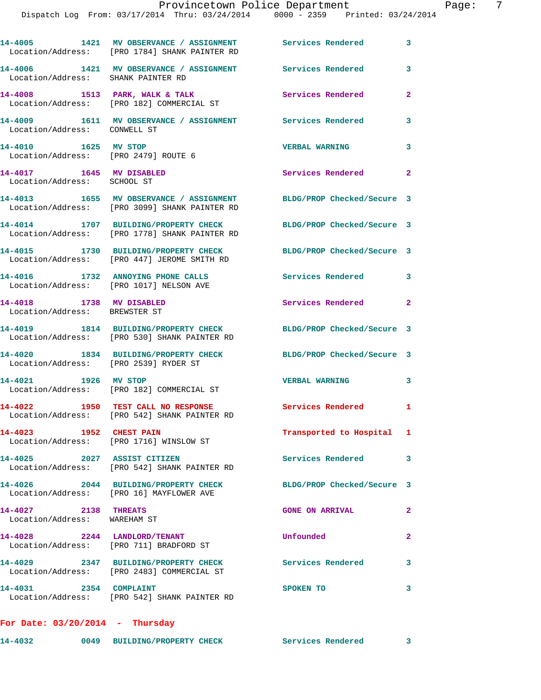|                                                              | 14-4005 1421 MV OBSERVANCE / ASSIGNMENT Services Rendered<br>Location/Address: [PRO 1784] SHANK PAINTER RD |                            | 3              |
|--------------------------------------------------------------|------------------------------------------------------------------------------------------------------------|----------------------------|----------------|
| Location/Address: SHANK PAINTER RD                           | 14-4006 1421 MV OBSERVANCE / ASSIGNMENT Services Rendered                                                  |                            | 3              |
|                                                              | 14-4008 1513 PARK, WALK & TALK<br>Location/Address: [PRO 182] COMMERCIAL ST                                | Services Rendered          | $\mathbf{2}$   |
| Location/Address: CONWELL ST                                 | 14-4009 1611 MV OBSERVANCE / ASSIGNMENT Services Rendered                                                  |                            | 3              |
| 14-4010 1625 MV STOP<br>Location/Address: [PRO 2479] ROUTE 6 |                                                                                                            | <b>VERBAL WARNING</b>      | 3              |
| 14-4017 1645 MV DISABLED<br>Location/Address: SCHOOL ST      |                                                                                                            | Services Rendered          | $\overline{2}$ |
|                                                              | 14-4013 1655 MV OBSERVANCE / ASSIGNMENT<br>Location/Address: [PRO 3099] SHANK PAINTER RD                   | BLDG/PROP Checked/Secure 3 |                |
|                                                              | 14-4014 1707 BUILDING/PROPERTY CHECK<br>Location/Address: [PRO 1778] SHANK PAINTER RD                      | BLDG/PROP Checked/Secure 3 |                |
|                                                              | 14-4015 1730 BUILDING/PROPERTY CHECK<br>Location/Address: [PRO 447] JEROME SMITH RD                        | BLDG/PROP Checked/Secure 3 |                |
|                                                              | 14-4016 1732 ANNOYING PHONE CALLS<br>Location/Address: [PRO 1017] NELSON AVE                               | Services Rendered 3        |                |
| 14-4018 1738 MV DISABLED<br>Location/Address: BREWSTER ST    |                                                                                                            | Services Rendered          | $\mathbf{2}$   |
|                                                              | 14-4019 1814 BUILDING/PROPERTY CHECK<br>Location/Address: [PRO 530] SHANK PAINTER RD                       | BLDG/PROP Checked/Secure 3 |                |
| Location/Address: [PRO 2539] RYDER ST                        | 14-4020 1834 BUILDING/PROPERTY CHECK                                                                       | BLDG/PROP Checked/Secure 3 |                |
| 14-4021 1926 MV STOP                                         | Location/Address: [PRO 182] COMMERCIAL ST                                                                  | <b>VERBAL WARNING</b>      | 3              |
|                                                              | 14-4022 1950 TEST CALL NO RESPONSE<br>Location/Address: [PRO 542] SHANK PAINTER RD                         | <b>Services Rendered</b> 1 |                |
| 14-4023 1952 CHEST PAIN                                      | Location/Address: [PRO 1716] WINSLOW ST                                                                    | Transported to Hospital 1  |                |
| 14-4025 2027 ASSIST CITIZEN                                  | Location/Address: [PRO 542] SHANK PAINTER RD                                                               | Services Rendered 3        |                |
|                                                              | 14-4026 2044 BUILDING/PROPERTY CHECK<br>Location/Address: [PRO 16] MAYFLOWER AVE                           | BLDG/PROP Checked/Secure 3 |                |
| 14-4027 2138 THREATS<br>Location/Address: WAREHAM ST         |                                                                                                            | <b>GONE ON ARRIVAL</b>     | $\mathbf{2}$   |
|                                                              | 14-4028 2244 LANDLORD/TENANT<br>Location/Address: [PRO 711] BRADFORD ST                                    | Unfounded                  | $\mathbf{2}$   |
|                                                              | 14-4029 2347 BUILDING/PROPERTY CHECK<br>Location/Address: [PRO 2483] COMMERCIAL ST                         | Services Rendered          | 3              |
| 14-4031 2354 COMPLAINT                                       | Location/Address: [PRO 542] SHANK PAINTER RD                                                               | SPOKEN TO                  | 3              |
| For Date: $03/20/2014$ - Thursday                            |                                                                                                            |                            |                |

**14-4032 0049 BUILDING/PROPERTY CHECK Services Rendered 3**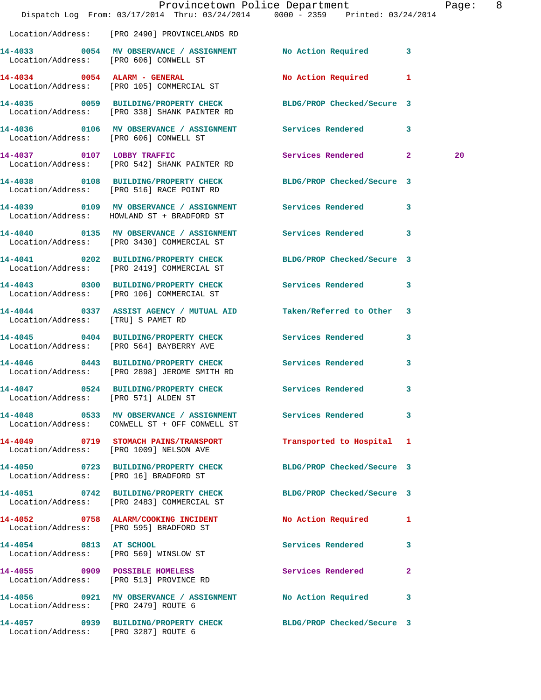|                                        | Dispatch Log From: 03/17/2014 Thru: 03/24/2014 0000 - 2359 Printed: 03/24/2014                                  | Provincetown Police Department |              | Page: 8 |  |
|----------------------------------------|-----------------------------------------------------------------------------------------------------------------|--------------------------------|--------------|---------|--|
|                                        | Location/Address: [PRO 2490] PROVINCELANDS RD                                                                   |                                |              |         |  |
| Location/Address: [PRO 606] CONWELL ST | 14-4033 0054 MV OBSERVANCE / ASSIGNMENT No Action Required 3                                                    |                                |              |         |  |
|                                        | 14-4034 0054 ALARM - GENERAL<br>Location/Address: [PRO 105] COMMERCIAL ST                                       | No Action Required 1           |              |         |  |
|                                        | 14-4035 0059 BUILDING/PROPERTY CHECK BLDG/PROP Checked/Secure 3<br>Location/Address: [PRO 338] SHANK PAINTER RD |                                |              |         |  |
| Location/Address: [PRO 606] CONWELL ST |                                                                                                                 |                                |              |         |  |
|                                        | 14-4037 0107 LOBBY TRAFFIC<br>Location/Address: [PRO 542] SHANK PAINTER RD                                      | Services Rendered 2            |              | 20      |  |
|                                        | 14-4038 0108 BUILDING/PROPERTY CHECK BLDG/PROP Checked/Secure 3<br>Location/Address: [PRO 516] RACE POINT RD    |                                |              |         |  |
|                                        | Location/Address: HOWLAND ST + BRADFORD ST                                                                      |                                |              |         |  |
|                                        | 14-4040   0135 MV OBSERVANCE / ASSIGNMENT   Services Rendered   3<br>Location/Address: [PRO 3430] COMMERCIAL ST |                                |              |         |  |
|                                        | 14-4041 0202 BUILDING/PROPERTY CHECK<br>Location/Address: [PRO 2419] COMMERCIAL ST                              | BLDG/PROP Checked/Secure 3     |              |         |  |
|                                        | 14-4043 0300 BUILDING/PROPERTY CHECK Services Rendered 3<br>Location/Address: [PRO 106] COMMERCIAL ST           |                                |              |         |  |
| Location/Address: [TRU] S PAMET RD     | 14-4044 0337 ASSIST AGENCY / MUTUAL AID                                                                         | Taken/Referred to Other 3      |              |         |  |
|                                        | 14-4045 0404 BUILDING/PROPERTY CHECK Services Rendered 3<br>Location/Address: [PRO 564] BAYBERRY AVE            |                                |              |         |  |
|                                        | 14-4046 0443 BUILDING/PROPERTY CHECK<br>Location/Address: [PRO 2898] JEROME SMITH RD                            | <b>Services Rendered</b>       | 3            |         |  |
| Location/Address: [PRO 571] ALDEN ST   | 14-4047 0524 BUILDING/PROPERTY CHECK Services Rendered 3                                                        |                                |              |         |  |
|                                        | 14-4048 6533 MV OBSERVANCE / ASSIGNMENT Services Rendered 3<br>Location/Address: CONWELL ST + OFF CONWELL ST    |                                |              |         |  |
|                                        | 14-4049 0719 STOMACH PAINS/TRANSPORT<br>Location/Address: [PRO 1009] NELSON AVE                                 | Transported to Hospital 1      |              |         |  |
| Location/Address: [PRO 16] BRADFORD ST | 14-4050 0723 BUILDING/PROPERTY CHECK BLDG/PROP Checked/Secure 3                                                 |                                |              |         |  |
|                                        | 14-4051 0742 BUILDING/PROPERTY CHECK BLDG/PROP Checked/Secure 3<br>Location/Address: [PRO 2483] COMMERCIAL ST   |                                |              |         |  |
|                                        | 14-4052 0758 ALARM/COOKING INCIDENT<br>Location/Address: [PRO 595] BRADFORD ST                                  | No Action Required 1           |              |         |  |
| 14-4054 0813 AT SCHOOL                 | Location/Address: [PRO 569] WINSLOW ST                                                                          | Services Rendered 3            |              |         |  |
|                                        | 14-4055 0909 POSSIBLE HOMELESS<br>Location/Address: [PRO 513] PROVINCE RD                                       | Services Rendered              | $\mathbf{2}$ |         |  |
| Location/Address: [PRO 2479] ROUTE 6   | 14-4056 0921 MV OBSERVANCE / ASSIGNMENT No Action Required 3                                                    |                                |              |         |  |
| Location/Address: [PRO 3287] ROUTE 6   | 14-4057 0939 BUILDING/PROPERTY CHECK BLDG/PROP Checked/Secure 3                                                 |                                |              |         |  |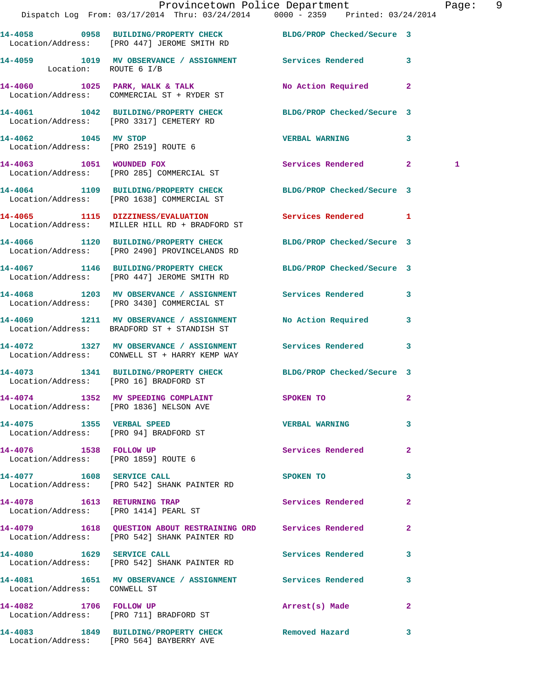|                                                                | Dispatch Log From: 03/17/2014 Thru: 03/24/2014 0000 - 2359 Printed: 03/24/2014                                   | Provincetown Police Department Page: 9 |                         |   |  |
|----------------------------------------------------------------|------------------------------------------------------------------------------------------------------------------|----------------------------------------|-------------------------|---|--|
|                                                                | 14-4058 0958 BUILDING/PROPERTY CHECK BLDG/PROP Checked/Secure 3<br>Location/Address: [PRO 447] JEROME SMITH RD   |                                        |                         |   |  |
| Location: ROUTE 6 I/B                                          | 14-4059 1019 MV OBSERVANCE / ASSIGNMENT Services Rendered 3                                                      |                                        |                         |   |  |
|                                                                | 14-4060 1025 PARK, WALK & TALK<br>Location/Address: COMMERCIAL ST + RYDER ST                                     | No Action Required 2                   |                         |   |  |
|                                                                | 14-4061 1042 BUILDING/PROPERTY CHECK BLDG/PROP Checked/Secure 3<br>Location/Address: [PRO 3317] CEMETERY RD      |                                        |                         |   |  |
|                                                                |                                                                                                                  | <b>VERBAL WARNING</b>                  | 3                       |   |  |
|                                                                | 14-4063 1051 WOUNDED FOX<br>Location/Address: [PRO 285] COMMERCIAL ST                                            | Services Rendered 2                    |                         | 1 |  |
|                                                                | 14-4064 1109 BUILDING/PROPERTY CHECK BLDG/PROP Checked/Secure 3<br>Location/Address: [PRO 1638] COMMERCIAL ST    |                                        |                         |   |  |
|                                                                | 14-4065 1115 DIZZINESS/EVALUATION<br>Location/Address: MILLER HILL RD + BRADFORD ST                              | Services Rendered 1                    |                         |   |  |
|                                                                | 14-4066 1120 BUILDING/PROPERTY CHECK BLDG/PROP Checked/Secure 3<br>Location/Address: [PRO 2490] PROVINCELANDS RD |                                        |                         |   |  |
|                                                                | 14-4067 1146 BUILDING/PROPERTY CHECK BLDG/PROP Checked/Secure 3<br>Location/Address: [PRO 447] JEROME SMITH RD   |                                        |                         |   |  |
|                                                                | 14-4068 1203 MV OBSERVANCE / ASSIGNMENT Services Rendered 3<br>Location/Address: [PRO 3430] COMMERCIAL ST        |                                        |                         |   |  |
|                                                                | 14-4069 1211 MV OBSERVANCE / ASSIGNMENT<br>Location/Address: BRADFORD ST + STANDISH ST                           | No Action Required                     | $\overline{\mathbf{3}}$ |   |  |
|                                                                | 14-4072 1327 MV OBSERVANCE / ASSIGNMENT Services Rendered 3<br>Location/Address: CONWELL ST + HARRY KEMP WAY     |                                        |                         |   |  |
| Location/Address: [PRO 16] BRADFORD ST                         | 14-4073 1341 BUILDING/PROPERTY CHECK BLDG/PROP Checked/Secure 3                                                  |                                        |                         |   |  |
|                                                                | 14-4074 1352 MV SPEEDING COMPLAINT<br>Location/Address: [PRO 1836] NELSON AVE                                    | SPOKEN TO                              |                         |   |  |
| 14-4075 1355 VERBAL SPEED                                      | Location/Address: [PRO 94] BRADFORD ST                                                                           | <b>VERBAL WARNING</b>                  | 3                       |   |  |
| 14-4076 1538 FOLLOW UP<br>Location/Address: [PRO 1859] ROUTE 6 |                                                                                                                  | <b>Services Rendered</b>               | $\mathbf{2}$            |   |  |
|                                                                | 14-4077 1608 SERVICE CALL<br>Location/Address: [PRO 542] SHANK PAINTER RD                                        | SPOKEN TO                              | 3                       |   |  |
| 14-4078 1613 RETURNING TRAP                                    | Location/Address: [PRO 1414] PEARL ST                                                                            | Services Rendered                      | $\mathbf{2}$            |   |  |
|                                                                | 14-4079 1618 QUESTION ABOUT RESTRAINING ORD Services Rendered<br>Location/Address: [PRO 542] SHANK PAINTER RD    |                                        | $\mathbf{2}$            |   |  |
|                                                                | 14-4080 1629 SERVICE CALL<br>Location/Address: [PRO 542] SHANK PAINTER RD                                        | Services Rendered 3                    |                         |   |  |
| Location/Address: CONWELL ST                                   | 14-4081 1651 MV OBSERVANCE / ASSIGNMENT Services Rendered                                                        |                                        | $\mathbf{3}$            |   |  |
| 14-4082 1706 FOLLOW UP                                         | Location/Address: [PRO 711] BRADFORD ST                                                                          | Arrest(s) Made                         | $\mathbf{2}$            |   |  |
|                                                                | 14-4083 1849 BUILDING/PROPERTY CHECK Removed Hazard<br>Location/Address: [PRO 564] BAYBERRY AVE                  |                                        | 3                       |   |  |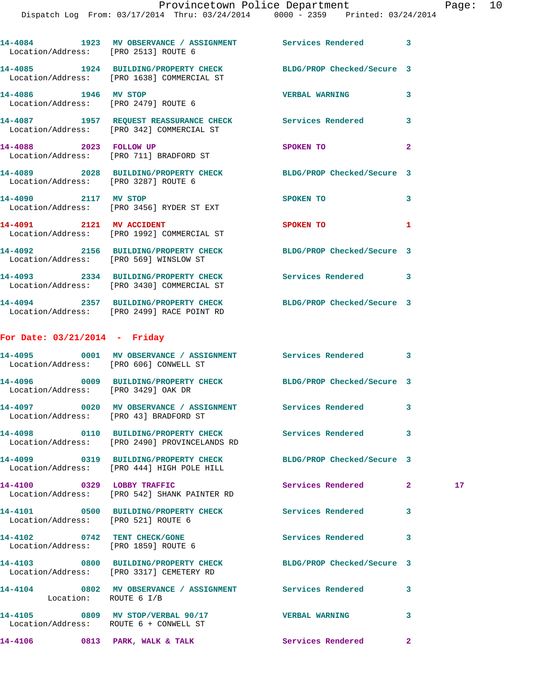| Location/Address: [PRO 2513] ROUTE 6   | 14-4084 1923 MV OBSERVANCE / ASSIGNMENT Services Rendered 3                                                                                           |                            |              |    |
|----------------------------------------|-------------------------------------------------------------------------------------------------------------------------------------------------------|----------------------------|--------------|----|
|                                        | 14-4085 1924 BUILDING/PROPERTY CHECK<br>Location/Address: [PRO 1638] COMMERCIAL ST                                                                    | BLDG/PROP Checked/Secure 3 |              |    |
| 14-4086 1946 MV STOP                   | Location/Address: [PRO 2479] ROUTE 6                                                                                                                  | <b>VERBAL WARNING</b>      | 3            |    |
|                                        | 14-4087 1957 REQUEST REASSURANCE CHECK Services Rendered 3<br>Iogation (Address: UPPO 3421 COMMERCIAL ST<br>Location/Address: [PRO 342] COMMERCIAL ST |                            |              |    |
| 14-4088 2023 FOLLOW UP                 | Location/Address: [PRO 711] BRADFORD ST                                                                                                               | <b>SPOKEN TO</b>           | $\mathbf{2}$ |    |
| Location/Address: [PRO 3287] ROUTE 6   | 14-4089 2028 BUILDING/PROPERTY CHECK BLDG/PROP Checked/Secure 3                                                                                       |                            |              |    |
|                                        | 14-4090 2117 MV STOP<br>Location/Address: [PRO 3456] RYDER ST EXT                                                                                     | SPOKEN TO                  | 3            |    |
| 14-4091 2121 MV ACCIDENT               | Location/Address: [PRO 1992] COMMERCIAL ST                                                                                                            | SPOKEN TO                  | 1            |    |
|                                        | 14-4092 2156 BUILDING/PROPERTY CHECK BLDG/PROP Checked/Secure 3<br>Location/Address: [PRO 569] WINSLOW ST                                             |                            |              |    |
|                                        | 14-4093 2334 BUILDING/PROPERTY CHECK Services Rendered 3<br>Location/Address: [PRO 3430] COMMERCIAL ST                                                |                            |              |    |
|                                        | 14-4094 2357 BUILDING/PROPERTY CHECK BLDG/PROP Checked/Secure 3<br>Location/Address: [PRO 2499] RACE POINT RD                                         |                            |              |    |
| For Date: $03/21/2014$ - Friday        |                                                                                                                                                       |                            |              |    |
|                                        | 14-4095 0001 MV OBSERVANCE / ASSIGNMENT Services Rendered 3<br>Location/Address: [PRO 606] CONWELL ST                                                 |                            |              |    |
| Location/Address: [PRO 3429] OAK DR    | 14-4096 0009 BUILDING/PROPERTY CHECK BLDG/PROP Checked/Secure 3                                                                                       |                            |              |    |
| Location/Address: [PRO 43] BRADFORD ST | 14-4097 0020 MV OBSERVANCE / ASSIGNMENT Services Rendered 3                                                                                           |                            |              |    |
|                                        | 14-4098 0110 BUILDING/PROPERTY CHECK<br>Location/Address: [PRO 2490] PROVINCELANDS RD                                                                 | Services Rendered          | 3            |    |
|                                        | 14-4099 0319 BUILDING/PROPERTY CHECK<br>Location/Address: [PRO 444] HIGH POLE HILL                                                                    | BLDG/PROP Checked/Secure 3 |              |    |
| 14-4100                                | 0329 LOBBY TRAFFIC<br>Location/Address: [PRO 542] SHANK PAINTER RD                                                                                    | Services Rendered          | $\mathbf{2}$ | 17 |
| Location/Address: [PRO 521] ROUTE 6    | 14-4101 0500 BUILDING/PROPERTY CHECK                                                                                                                  | <b>Services Rendered</b>   | 3            |    |

**14-4102 0742 TENT CHECK/GONE Services Rendered 3**  Location/Address: [PRO 1859] ROUTE 6

**14-4103 0800 BUILDING/PROPERTY CHECK BLDG/PROP Checked/Secure 3**  Location/Address: [PRO 3317] CEMETERY RD

**14-4104 0802 MV OBSERVANCE / ASSIGNMENT Services Rendered 3**  Location: ROUTE 6 I/B

**14-4105 0809 MV STOP/VERBAL 90/17 VERBAL WARNING 3**  Location/Address: ROUTE 6 + CONWELL ST

**14-4106 0813 PARK, WALK & TALK Services Rendered 2**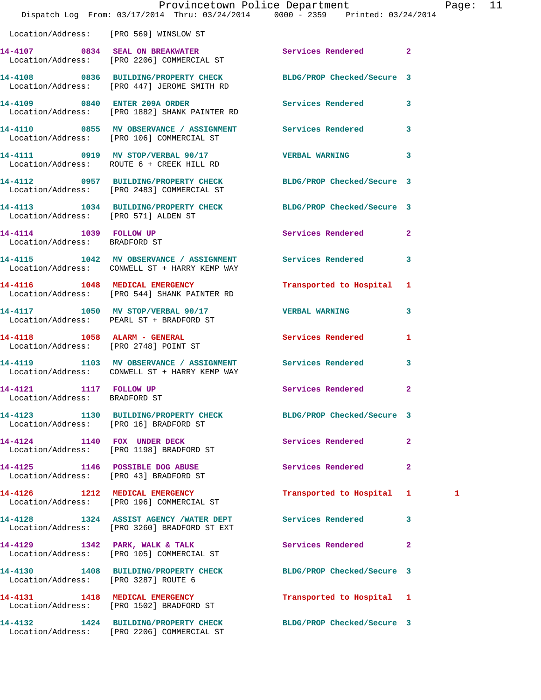|                                                         |                                                                                                                | Provincetown Police Department Fage: 11 |              |   |  |
|---------------------------------------------------------|----------------------------------------------------------------------------------------------------------------|-----------------------------------------|--------------|---|--|
|                                                         | Dispatch Log From: 03/17/2014 Thru: 03/24/2014 0000 - 2359 Printed: 03/24/2014                                 |                                         |              |   |  |
|                                                         | Location/Address: [PRO 569] WINSLOW ST                                                                         |                                         |              |   |  |
|                                                         | 14-4107 0834 SEAL ON BREAKWATER Services Rendered 2<br>Location/Address: [PRO 2206] COMMERCIAL ST              |                                         |              |   |  |
|                                                         | 14-4108 0836 BUILDING/PROPERTY CHECK BLDG/PROP Checked/Secure 3<br>Location/Address: [PRO 447] JEROME SMITH RD |                                         |              |   |  |
|                                                         | 14-4109 0840 ENTER 209A ORDER Services Rendered 3<br>Location/Address: [PRO 1882] SHANK PAINTER RD             |                                         |              |   |  |
|                                                         | 14-4110 0855 MV OBSERVANCE / ASSIGNMENT Services Rendered 3<br>Location/Address: [PRO 106] COMMERCIAL ST       |                                         |              |   |  |
|                                                         | 14-4111 0919 MV STOP/VERBAL 90/17 VERBAL WARNING 3<br>Location/Address: ROUTE 6 + CREEK HILL RD                |                                         |              |   |  |
|                                                         | 14-4112 0957 BUILDING/PROPERTY CHECK BLDG/PROP Checked/Secure 3<br>Location/Address: [PRO 2483] COMMERCIAL ST  |                                         |              |   |  |
| Location/Address: [PRO 571] ALDEN ST                    | 14-4113 1034 BUILDING/PROPERTY CHECK BLDG/PROP Checked/Secure 3                                                |                                         |              |   |  |
| 14-4114 1039 FOLLOW UP<br>Location/Address: BRADFORD ST |                                                                                                                | Services Rendered 2                     |              |   |  |
|                                                         | 14-4115 1042 MV OBSERVANCE / ASSIGNMENT Services Rendered 3<br>Location/Address: CONWELL ST + HARRY KEMP WAY   |                                         |              |   |  |
|                                                         | 14-4116 1048 MEDICAL EMERGENCY<br>Location/Address: [PRO 544] SHANK PAINTER RD                                 | Transported to Hospital 1               |              |   |  |
|                                                         | 14-4117 1050 MV STOP/VERBAL 90/17 VERBAL WARNING<br>Location/Address: PEARL ST + BRADFORD ST                   |                                         | $\mathbf{3}$ |   |  |
|                                                         | 14-4118 1058 ALARM - GENERAL<br>Location/Address: [PRO 2748] POINT ST                                          | Services Rendered                       | $\mathbf{1}$ |   |  |
|                                                         | 14-4119 1103 MV OBSERVANCE / ASSIGNMENT Services Rendered 3<br>Location/Address: CONWELL ST + HARRY KEMP WAY   |                                         |              |   |  |
| 14-4121 1117 FOLLOW UP<br>Location/Address: BRADFORD ST |                                                                                                                | <b>Services Rendered</b>                |              |   |  |
| Location/Address: [PRO 16] BRADFORD ST                  | 14-4123 1130 BUILDING/PROPERTY CHECK BLDG/PROP Checked/Secure 3                                                |                                         |              |   |  |
|                                                         | 14-4124 1140 FOX UNDER DECK<br>Location/Address: [PRO 1198] BRADFORD ST                                        | Services Rendered 2                     |              |   |  |
|                                                         | 14-4125 1146 POSSIBLE DOG ABUSE<br>Location/Address: [PRO 43] BRADFORD ST                                      | Services Rendered                       | $\mathbf{2}$ |   |  |
|                                                         | 14-4126 1212 MEDICAL EMERGENCY<br>Location/Address: [PRO 196] COMMERCIAL ST                                    | Transported to Hospital 1               |              | 1 |  |
|                                                         | 14-4128 1324 ASSIST AGENCY /WATER DEPT Services Rendered<br>Location/Address: [PRO 3260] BRADFORD ST EXT       |                                         | $\mathbf{3}$ |   |  |
|                                                         | 14-4129 1342 PARK, WALK & TALK<br>Location/Address: [PRO 105] COMMERCIAL ST                                    | Services Rendered                       | $\mathbf{2}$ |   |  |
|                                                         | 14-4130 1408 BUILDING/PROPERTY CHECK BLDG/PROP Checked/Secure 3<br>Location/Address: [PRO 3287] ROUTE 6        |                                         |              |   |  |
|                                                         | 14-4131 1418 MEDICAL EMERGENCY<br>Location/Address: [PRO 1502] BRADFORD ST                                     | Transported to Hospital 1               |              |   |  |
|                                                         | 14-4132 1424 BUILDING/PROPERTY CHECK BLDG/PROP Checked/Secure 3                                                |                                         |              |   |  |

Location/Address: [PRO 2206] COMMERCIAL ST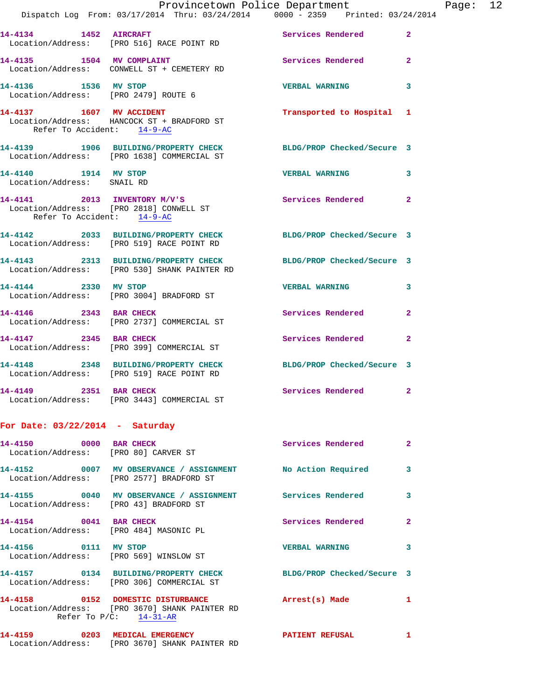|                                                                       | Dispatch Log From: 03/17/2014 Thru: 03/24/2014 0000 - 2359 Printed: 03/24/2014                                    | Provincetown Police Department |                | Page: 12 |  |
|-----------------------------------------------------------------------|-------------------------------------------------------------------------------------------------------------------|--------------------------------|----------------|----------|--|
|                                                                       | 14-4134 1452 AIRCRAFT<br>Location/Address: [PRO 516] RACE POINT RD                                                | Services Rendered              | $\overline{2}$ |          |  |
| 14-4135 1504 MV COMPLAINT                                             | Location/Address: CONWELL ST + CEMETERY RD                                                                        | Services Rendered              | $\mathbf{2}$   |          |  |
| 14-4136 1536 MV STOP<br>Location/Address: [PRO 2479] ROUTE 6          |                                                                                                                   | <b>VERBAL WARNING</b>          | 3              |          |  |
| Refer To Accident: 14-9-AC                                            | 14-4137 1607 MV ACCIDENT<br>Location/Address: HANCOCK ST + BRADFORD ST                                            | Transported to Hospital 1      |                |          |  |
|                                                                       | 14-4139 1906 BUILDING/PROPERTY CHECK BLDG/PROP Checked/Secure 3<br>Location/Address: [PRO 1638] COMMERCIAL ST     |                                |                |          |  |
| 14-4140 1914 MV STOP<br>Location/Address: SNAIL RD                    |                                                                                                                   | <b>VERBAL WARNING</b>          | 3              |          |  |
| Location/Address: [PRO 2818] CONWELL ST<br>Refer To Accident: 14-9-AC | 14-4141 2013 INVENTORY M/V'S                                                                                      | Services Rendered 2            |                |          |  |
|                                                                       | 14-4142 2033 BUILDING/PROPERTY CHECK BLDG/PROP Checked/Secure 3<br>Location/Address: [PRO 519] RACE POINT RD      |                                |                |          |  |
|                                                                       | 14-4143 2313 BUILDING/PROPERTY CHECK<br>Location/Address: [PRO 530] SHANK PAINTER RD                              | BLDG/PROP Checked/Secure 3     |                |          |  |
|                                                                       | 14-4144 2330 MV STOP<br>Location/Address: [PRO 3004] BRADFORD ST                                                  | <b>VERBAL WARNING</b>          | 3              |          |  |
| 14-4146 2343 BAR CHECK                                                | Location/Address: [PRO 2737] COMMERCIAL ST                                                                        | Services Rendered              | $\overline{2}$ |          |  |
|                                                                       | 14-4147 2345 BAR CHECK<br>Location/Address: [PRO 399] COMMERCIAL ST                                               | Services Rendered              | $\mathbf{2}$   |          |  |
|                                                                       | 14-4148 2348 BUILDING/PROPERTY CHECK<br>Location/Address: [PRO 519] RACE POINT RD                                 | BLDG/PROP Checked/Secure 3     |                |          |  |
| 14-4149 2351 BAR CHECK                                                | Location/Address: [PRO 3443] COMMERCIAL ST                                                                        | Services Rendered 2            |                |          |  |
| For Date: $03/22/2014$ - Saturday                                     |                                                                                                                   |                                |                |          |  |
| 14-4150 0000 BAR CHECK                                                | Location/Address: [PRO 80] CARVER ST                                                                              | Services Rendered              | $\mathbf{2}$   |          |  |
|                                                                       | 14-4152 0007 MV OBSERVANCE / ASSIGNMENT No Action Required<br>Location/Address: [PRO 2577] BRADFORD ST            |                                | 3              |          |  |
| Location/Address: [PRO 43] BRADFORD ST                                | 14-4155 0040 MV OBSERVANCE / ASSIGNMENT Services Rendered                                                         |                                | 3              |          |  |
| 14-4154 0041 BAR CHECK                                                | Location/Address: [PRO 484] MASONIC PL                                                                            | Services Rendered              | $\mathbf{2}$   |          |  |
| 14-4156 0111 MV STOP                                                  | Location/Address: [PRO 569] WINSLOW ST                                                                            | <b>VERBAL WARNING</b>          | 3              |          |  |
|                                                                       | 14-4157 0134 BUILDING/PROPERTY CHECK BLDG/PROP Checked/Secure 3<br>Location/Address: [PRO 306] COMMERCIAL ST      |                                |                |          |  |
|                                                                       | 14-4158 0152 DOMESTIC DISTURBANCE<br>Location/Address: [PRO 3670] SHANK PAINTER RD<br>Refer To $P/C$ : $14-31-AR$ | Arrest(s) Made                 | 1              |          |  |
|                                                                       | 14-4159 0203 MEDICAL EMERGENCY<br>Location/Address: [PRO 3670] SHANK PAINTER RD                                   | <b>PATIENT REFUSAL</b>         | 1              |          |  |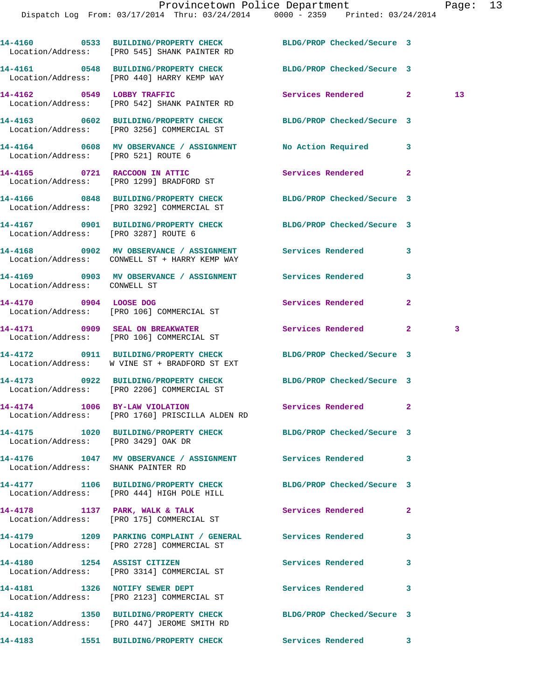|                                                | 14-4160 0533 BUILDING/PROPERTY CHECK BLDG/PROP Checked/Secure 3<br>Location/Address: [PRO 545] SHANK PAINTER RD  |                            |                |    |
|------------------------------------------------|------------------------------------------------------------------------------------------------------------------|----------------------------|----------------|----|
|                                                | 14-4161 0548 BUILDING/PROPERTY CHECK<br>Location/Address: [PRO 440] HARRY KEMP WAY                               | BLDG/PROP Checked/Secure 3 |                |    |
|                                                | 14-4162 0549 LOBBY TRAFFIC<br>Location/Address: [PRO 542] SHANK PAINTER RD                                       | Services Rendered 2        |                | 13 |
|                                                | 14-4163 0602 BUILDING/PROPERTY CHECK<br>Location/Address: [PRO 3256] COMMERCIAL ST                               | BLDG/PROP Checked/Secure 3 |                |    |
| Location/Address: [PRO 521] ROUTE 6            | 14-4164 0608 MV OBSERVANCE / ASSIGNMENT No Action Required                                                       |                            | 3              |    |
|                                                | 14-4165 0721 RACCOON IN ATTIC<br>Location/Address: [PRO 1299] BRADFORD ST                                        | Services Rendered          | $\overline{2}$ |    |
|                                                | 14-4166 0848 BUILDING/PROPERTY CHECK<br>Location/Address: [PRO 3292] COMMERCIAL ST                               | BLDG/PROP Checked/Secure 3 |                |    |
|                                                | 14-4167 0901 BUILDING/PROPERTY CHECK BLDG/PROP Checked/Secure 3<br>Location/Address: [PRO 3287] ROUTE 6          |                            |                |    |
|                                                | 14-4168 6902 MV OBSERVANCE / ASSIGNMENT Services Rendered<br>Location/Address: CONWELL ST + HARRY KEMP WAY       |                            | 3              |    |
| Location/Address: CONWELL ST                   | 14-4169       0903   MV OBSERVANCE / ASSIGNMENT      Services Rendered                                           |                            | 3              |    |
|                                                | 14-4170 0904 LOOSE DOG<br>Location/Address: [PRO 106] COMMERCIAL ST                                              | Services Rendered          | $\mathbf{2}$   |    |
|                                                | 14-4171 0909 SEAL ON BREAKWATER<br>Location/Address: [PRO 106] COMMERCIAL ST                                     | Services Rendered          | $\mathbf{2}$   | 3  |
|                                                | 14-4172 0911 BUILDING/PROPERTY CHECK BLDG/PROP Checked/Secure 3<br>Location/Address: W VINE ST + BRADFORD ST EXT |                            |                |    |
|                                                | 14-4173 0922 BUILDING/PROPERTY CHECK<br>Location/Address: [PRO 2206] COMMERCIAL ST                               | BLDG/PROP Checked/Secure 3 |                |    |
| 14-4174 1006 BY-LAW VIOLATION                  | Location/Address: [PRO 1760] PRISCILLA ALDEN RD                                                                  | Services Rendered 2        |                |    |
| 14-4175<br>Location/Address: [PRO 3429] OAK DR | 1020 BUILDING/PROPERTY CHECK BLDG/PROP Checked/Secure 3                                                          |                            |                |    |
|                                                | 14-4176 1047 MV OBSERVANCE / ASSIGNMENT Services Rendered 3<br>Location/Address: SHANK PAINTER RD                |                            |                |    |
|                                                | 14-4177 1106 BUILDING/PROPERTY CHECK BLDG/PROP Checked/Secure 3<br>Location/Address: [PRO 444] HIGH POLE HILL    |                            |                |    |
|                                                | 14-4178 1137 PARK, WALK & TALK<br>Location/Address: [PRO 175] COMMERCIAL ST                                      | Services Rendered          | 2              |    |
|                                                | 14-4179 1209 PARKING COMPLAINT / GENERAL Services Rendered<br>Location/Address: [PRO 2728] COMMERCIAL ST         |                            | 3              |    |
|                                                | 14-4180 1254 ASSIST CITIZEN<br>Location/Address: [PRO 3314] COMMERCIAL ST                                        | <b>Services Rendered</b>   | 3              |    |
|                                                | 14-4181 1326 NOTIFY SEWER DEPT<br>Location/Address: [PRO 2123] COMMERCIAL ST                                     | Services Rendered          | 3              |    |
|                                                | 14-4182 1350 BUILDING/PROPERTY CHECK BLDG/PROP Checked/Secure 3<br>Location/Address: [PRO 447] JEROME SMITH RD   |                            |                |    |
|                                                |                                                                                                                  | Services Rendered 3        |                |    |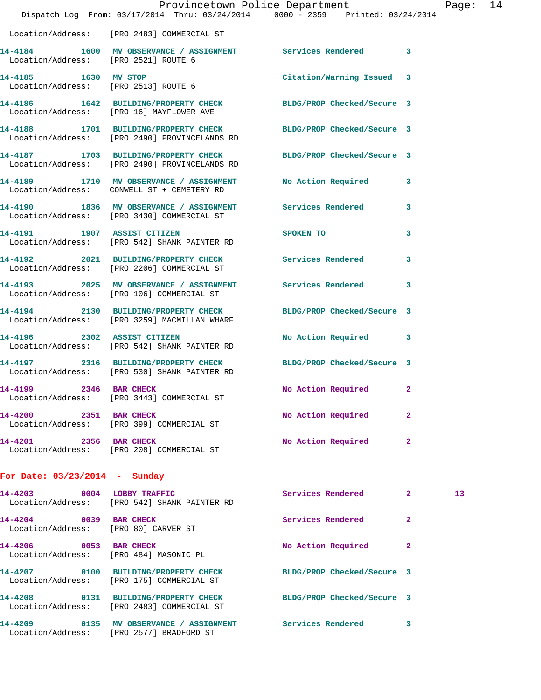|                                      | Provincetown Police Department The Rage: 14<br>Dispatch Log From: 03/17/2014 Thru: 03/24/2014 0000 - 2359 Printed: 03/24/2014 |                                                                                                                                                                                                                                |              |    |  |
|--------------------------------------|-------------------------------------------------------------------------------------------------------------------------------|--------------------------------------------------------------------------------------------------------------------------------------------------------------------------------------------------------------------------------|--------------|----|--|
|                                      | Location/Address: [PRO 2483] COMMERCIAL ST                                                                                    |                                                                                                                                                                                                                                |              |    |  |
| Location/Address: [PRO 2521] ROUTE 6 | 14-4184 1600 MV OBSERVANCE / ASSIGNMENT Services Rendered 3                                                                   |                                                                                                                                                                                                                                |              |    |  |
| 14-4185 1630 MV STOP                 | Location/Address: [PRO 2513] ROUTE 6                                                                                          | Citation/Warning Issued 3                                                                                                                                                                                                      |              |    |  |
|                                      | 14-4186 1642 BUILDING/PROPERTY CHECK BLDG/PROP Checked/Secure 3<br>Location/Address: [PRO 16] MAYFLOWER AVE                   |                                                                                                                                                                                                                                |              |    |  |
|                                      | 14-4188 1701 BUILDING/PROPERTY CHECK BLDG/PROP Checked/Secure 3<br>Location/Address: [PRO 2490] PROVINCELANDS RD              |                                                                                                                                                                                                                                |              |    |  |
|                                      | 14-4187 1703 BUILDING/PROPERTY CHECK<br>Location/Address: [PRO 2490] PROVINCELANDS RD                                         | BLDG/PROP Checked/Secure 3                                                                                                                                                                                                     |              |    |  |
|                                      | 14-4189 1710 MV OBSERVANCE / ASSIGNMENT No Action Required 3<br>Location/Address: CONWELL ST + CEMETERY RD                    |                                                                                                                                                                                                                                |              |    |  |
|                                      | 14-4190 1836 MV OBSERVANCE / ASSIGNMENT Services Rendered 3<br>Location/Address: [PRO 3430] COMMERCIAL ST                     |                                                                                                                                                                                                                                |              |    |  |
|                                      | 14-4191 1907 ASSIST CITIZEN<br>Location/Address: [PRO 542] SHANK PAINTER RD                                                   | SPOKEN TO AND TO A RESIDENCE OF A RESIDENCE OF A RESIDENCE OF A RESIDENCE OF A REPORT OF A REPORT OF A REPORT OF A REPORT OF A REPORT OF A REPORT OF A REPORT OF A REPORT OF A REPORT OF A REPORT OF A REPORT OF A REPORT OF A | 3            |    |  |
|                                      | 14-4192 2021 BUILDING/PROPERTY CHECK Services Rendered 3<br>Location/Address: [PRO 2206] COMMERCIAL ST                        |                                                                                                                                                                                                                                |              |    |  |
|                                      | 14-4193 2025 MV OBSERVANCE / ASSIGNMENT Services Rendered 3<br>Location/Address: [PRO 106] COMMERCIAL ST                      |                                                                                                                                                                                                                                |              |    |  |
|                                      | 14-4194 2130 BUILDING/PROPERTY CHECK<br>Location/Address: [PRO 3259] MACMILLAN WHARF                                          | BLDG/PROP Checked/Secure 3                                                                                                                                                                                                     |              |    |  |
|                                      | 14-4196 2302 ASSIST CITIZEN<br>Location/Address: [PRO 542] SHANK PAINTER RD                                                   | No Action Required 3                                                                                                                                                                                                           |              |    |  |
|                                      | 14-4197 2316 BUILDING/PROPERTY CHECK BLDG/PROP Checked/Secure 3<br>Location/Address: [PRO 530] SHANK PAINTER RD               |                                                                                                                                                                                                                                |              |    |  |
| 14-4199 2346 BAR CHECK               | Location/Address: [PRO 3443] COMMERCIAL ST                                                                                    | No Action Required 2                                                                                                                                                                                                           |              |    |  |
| 14-4200 2351 BAR CHECK               | Location/Address: [PRO 399] COMMERCIAL ST                                                                                     | No Action Required                                                                                                                                                                                                             | $\mathbf{2}$ |    |  |
|                                      | 14-4201 2356 BAR CHECK<br>Location/Address: [PRO 208] COMMERCIAL ST                                                           | No Action Required                                                                                                                                                                                                             | 2            |    |  |
| For Date: $03/23/2014$ - Sunday      |                                                                                                                               |                                                                                                                                                                                                                                |              |    |  |
|                                      | 14-4203 0004 LOBBY TRAFFIC<br>Location/Address: [PRO 542] SHANK PAINTER RD                                                    | Services Rendered 2                                                                                                                                                                                                            |              | 13 |  |
| 14-4204 0039 BAR CHECK               | Location/Address: [PRO 80] CARVER ST                                                                                          | Services Rendered 2                                                                                                                                                                                                            |              |    |  |
|                                      | 14-4206 0053 BAR CHECK<br>Location/Address: [PRO 484] MASONIC PL                                                              | No Action Required                                                                                                                                                                                                             | 2            |    |  |
|                                      | 14-4207 0100 BUILDING/PROPERTY CHECK BLDG/PROP Checked/Secure 3<br>Location/Address: [PRO 175] COMMERCIAL ST                  |                                                                                                                                                                                                                                |              |    |  |
|                                      | 14-4208 0131 BUILDING/PROPERTY CHECK<br>Location/Address: [PRO 2483] COMMERCIAL ST                                            | BLDG/PROP Checked/Secure 3                                                                                                                                                                                                     |              |    |  |
| 14-4209                              | 0135 MV OBSERVANCE / ASSIGNMENT Services Rendered 3<br>Location/Address: [PRO 2577] BRADFORD ST                               |                                                                                                                                                                                                                                |              |    |  |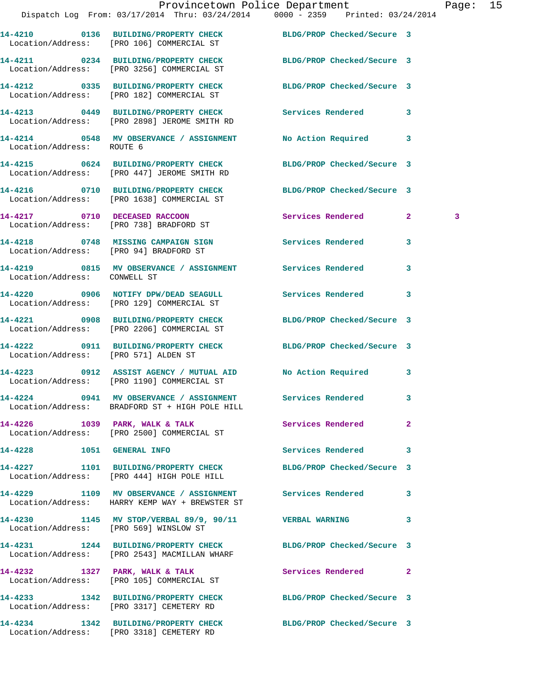|                                        | Dispatch Log From: 03/17/2014 Thru: 03/24/2014 0000 - 2359 Printed: 03/24/2014                                  |                     |                         |   |  |
|----------------------------------------|-----------------------------------------------------------------------------------------------------------------|---------------------|-------------------------|---|--|
|                                        | 14-4210 0136 BUILDING/PROPERTY CHECK BLDG/PROP Checked/Secure 3<br>Location/Address: [PRO 106] COMMERCIAL ST    |                     |                         |   |  |
|                                        | 14-4211 0234 BUILDING/PROPERTY CHECK BLDG/PROP Checked/Secure 3<br>Location/Address: [PRO 3256] COMMERCIAL ST   |                     |                         |   |  |
|                                        | 14-4212 0335 BUILDING/PROPERTY CHECK BLDG/PROP Checked/Secure 3<br>Location/Address: [PRO 182] COMMERCIAL ST    |                     |                         |   |  |
|                                        | 14-4213 0449 BUILDING/PROPERTY CHECK Services Rendered 3<br>Location/Address: [PRO 2898] JEROME SMITH RD        |                     |                         |   |  |
| Location/Address: ROUTE 6              | 14-4214 0548 MV OBSERVANCE / ASSIGNMENT No Action Required 3                                                    |                     |                         |   |  |
|                                        | 14-4215 0624 BUILDING/PROPERTY CHECK BLDG/PROP Checked/Secure 3<br>Location/Address: [PRO 447] JEROME SMITH RD  |                     |                         |   |  |
|                                        | 14-4216 0710 BUILDING/PROPERTY CHECK BLDG/PROP Checked/Secure 3<br>Location/Address: [PRO 1638] COMMERCIAL ST   |                     |                         |   |  |
|                                        | 14-4217 0710 DECEASED RACCOON<br>Location/Address: [PRO 738] BRADFORD ST                                        | Services Rendered 2 |                         | 3 |  |
|                                        | 14-4218 0748 MISSING CAMPAIGN SIGN Services Rendered<br>Location/Address: [PRO 94] BRADFORD ST                  |                     | $\mathbf{3}$            |   |  |
| Location/Address: CONWELL ST           | 14-4219 0815 MV OBSERVANCE / ASSIGNMENT Services Rendered 3                                                     |                     |                         |   |  |
|                                        | 14-4220 0906 NOTIFY DPW/DEAD SEAGULL Services Rendered 3<br>Location/Address: [PRO 129] COMMERCIAL ST           |                     |                         |   |  |
|                                        | 14-4221 0908 BUILDING/PROPERTY CHECK BLDG/PROP Checked/Secure 3<br>Location/Address: [PRO 2206] COMMERCIAL ST   |                     |                         |   |  |
| Location/Address: [PRO 571] ALDEN ST   | 14-4222 0911 BUILDING/PROPERTY CHECK BLDG/PROP Checked/Secure 3                                                 |                     |                         |   |  |
|                                        | 14-4223 0912 ASSIST AGENCY / MUTUAL AID No Action Required 3<br>Location/Address: [PRO 1190] COMMERCIAL ST      |                     |                         |   |  |
|                                        | 14-4224 0941 MV OBSERVANCE / ASSIGNMENT Services Rendered 3<br>Location/Address: BRADFORD ST + HIGH POLE HILL   |                     |                         |   |  |
|                                        | 14-4226 1039 PARK, WALK & TALK<br>Location/Address: [PRO 2500] COMMERCIAL ST                                    | Services Rendered   | $\overline{2}$          |   |  |
| 14-4228    1051    GENERAL INFO        |                                                                                                                 | Services Rendered   | $\overline{\mathbf{3}}$ |   |  |
|                                        | 14-4227 1101 BUILDING/PROPERTY CHECK BLDG/PROP Checked/Secure 3<br>Location/Address: [PRO 444] HIGH POLE HILL   |                     |                         |   |  |
|                                        | 14-4229 1109 MV OBSERVANCE / ASSIGNMENT Services Rendered<br>Location/Address: HARRY KEMP WAY + BREWSTER ST     |                     | 3                       |   |  |
| Location/Address: [PRO 569] WINSLOW ST | 14-4230 1145 MV STOP/VERBAL 89/9, 90/11 VERBAL WARNING                                                          |                     | 3                       |   |  |
|                                        | 14-4231 1244 BUILDING/PROPERTY CHECK BLDG/PROP Checked/Secure 3<br>Location/Address: [PRO 2543] MACMILLAN WHARF |                     |                         |   |  |
|                                        | 14-4232 1327 PARK, WALK & TALK<br>Location/Address: [PRO 105] COMMERCIAL ST                                     | Services Rendered 2 |                         |   |  |
|                                        | 14-4233 1342 BUILDING/PROPERTY CHECK BLDG/PROP Checked/Secure 3<br>Location/Address: [PRO 3317] CEMETERY RD     |                     |                         |   |  |
|                                        | 14-4234 1342 BUILDING/PROPERTY CHECK BLDG/PROP Checked/Secure 3<br>Location/Address: [PRO 3318] CEMETERY RD     |                     |                         |   |  |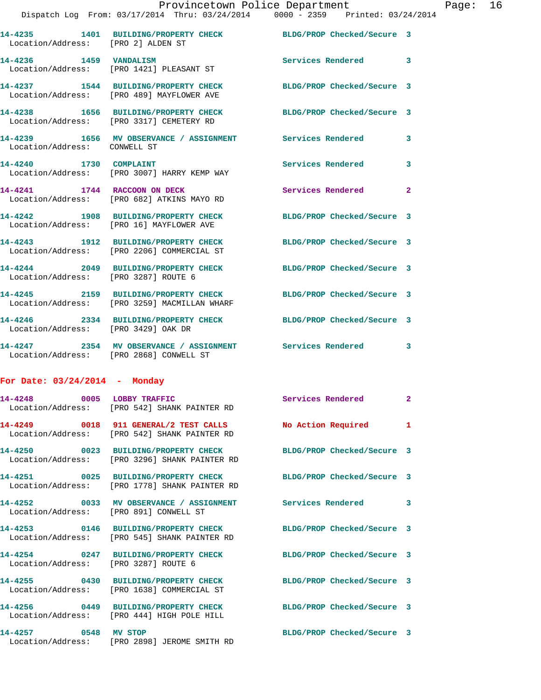| Location/Address: [PRO 2] ALDEN ST   | 14-4235 1401 BUILDING/PROPERTY CHECK BLDG/PROP Checked/Secure 3                                        |                            |   |
|--------------------------------------|--------------------------------------------------------------------------------------------------------|----------------------------|---|
|                                      | 14-4236 1459 VANDALISM<br>Location/Address: [PRO 1421] PLEASANT ST                                     | Services Rendered 3        |   |
|                                      | 14-4237 1544 BUILDING/PROPERTY CHECK<br>Location/Address: [PRO 489] MAYFLOWER AVE                      | BLDG/PROP Checked/Secure 3 |   |
|                                      | 14-4238 1656 BUILDING/PROPERTY CHECK<br>Location/Address: [PRO 3317] CEMETERY RD                       | BLDG/PROP Checked/Secure 3 |   |
| Location/Address: CONWELL ST         | 14-4239 1656 MV OBSERVANCE / ASSIGNMENT Services Rendered                                              |                            | 3 |
| 14-4240 1730 COMPLAINT               | Location/Address: [PRO 3007] HARRY KEMP WAY                                                            | <b>Services Rendered</b>   | 3 |
| 14-4241 1744 RACCOON ON DECK         | Location/Address: [PRO 682] ATKINS MAYO RD                                                             | Services Rendered 2        |   |
|                                      | 14-4242 1908 BUILDING/PROPERTY CHECK<br>Location/Address: [PRO 16] MAYFLOWER AVE                       | BLDG/PROP Checked/Secure 3 |   |
|                                      | 14-4243 1912 BUILDING/PROPERTY CHECK<br>Location/Address: [PRO 2206] COMMERCIAL ST                     | BLDG/PROP Checked/Secure 3 |   |
| Location/Address: [PRO 3287] ROUTE 6 | 14-4244 2049 BUILDING/PROPERTY CHECK                                                                   | BLDG/PROP Checked/Secure 3 |   |
|                                      | 14-4245 2159 BUILDING/PROPERTY CHECK<br>Location/Address: [PRO 3259] MACMILLAN WHARF                   | BLDG/PROP Checked/Secure 3 |   |
| Location/Address: [PRO 3429] OAK DR  | 14-4246  2334 BUILDING/PROPERTY CHECK                                                                  | BLDG/PROP Checked/Secure 3 |   |
|                                      | 14-4247 2354 MV OBSERVANCE / ASSIGNMENT Services Rendered 3<br>Location/Address: [PRO 2868] CONWELL ST |                            |   |

## **For Date: 03/24/2014 - Monday**

|                                        | 14-4248 0005 LOBBY TRAFFIC<br>Location/Address: [PRO 542] SHANK PAINTER RD                                        | Services Rendered 2        |  |
|----------------------------------------|-------------------------------------------------------------------------------------------------------------------|----------------------------|--|
|                                        | Location/Address: [PRO 542] SHANK PAINTER RD                                                                      |                            |  |
|                                        | 14-4250 0023 BUILDING/PROPERTY CHECK BLDG/PROP Checked/Secure 3<br>Location/Address: [PRO 3296] SHANK PAINTER RD  |                            |  |
|                                        | 14-4251  0025 BUILDING/PROPERTY CHECK BLDG/PROP Checked/Secure 3<br>Location/Address: [PRO 1778] SHANK PAINTER RD |                            |  |
| Location/Address: [PRO 891] CONWELL ST | 14-4252 0033 MV OBSERVANCE / ASSIGNMENT Services Rendered 3                                                       |                            |  |
|                                        | 14-4253 0146 BUILDING/PROPERTY CHECK BLDG/PROP Checked/Secure 3<br>Location/Address: [PRO 545] SHANK PAINTER RD   |                            |  |
| Location/Address: [PRO 3287] ROUTE 6   | 14-4254 0247 BUILDING/PROPERTY CHECK                                                                              | BLDG/PROP Checked/Secure 3 |  |
|                                        | 14-4255 0430 BUILDING/PROPERTY CHECK BLDG/PROP Checked/Secure 3<br>Location/Address: [PRO 1638] COMMERCIAL ST     |                            |  |
|                                        | 14-4256 0449 BUILDING/PROPERTY CHECK BLDG/PROP Checked/Secure 3<br>Location/Address: [PRO 444] HIGH POLE HILL     |                            |  |
| 14-4257 0548 MV STOP                   | Location/Address: [PRO 2898] JEROME SMITH RD                                                                      | BLDG/PROP Checked/Secure 3 |  |